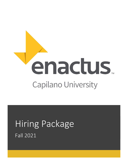

# Hiring Package Fall 2021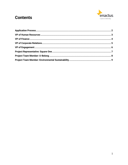# **Contents**

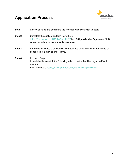# <span id="page-2-0"></span>**Application Process**



- **Step 1.** Review all roles and determine the roles for which you wish to apply.
- **Step 2.** Complete the application form found here: <https://forms.gle/LpcN19RVr1nLuLHT7> by *11:59 pm Sunday, September 19.* Be sure to include your resume and cover letter.
- **Step 3.** A member of Enactus Capilano will contact you to schedule an interview to be conducted remotely on MS Teams.
- **Step 4.** Interview Prep: It is advisable to watch the following video to better familiarize yourself with Enactus. *What is Enactus* <https://www.youtube.com/watch?v=-RjHEhK6p1A>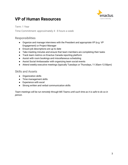

# <span id="page-3-0"></span>**VP of Human Resources**

Term: 1 Year

Time Commitment: approximately 4 - 8 hours a week

### Responsibilities

- Organize and manage interviews with the President and appropriate VP (e.g. VP Engagement) or Project Manager
- Ensure job descriptions are up to date
- Take meeting minutes and ensure that team members are completing their tasks
- Track team metrics on Enactus Canada reporting platform
- Assist with room bookings and miscellaneous scheduling
- Assist Social Ambassador with organizing team social events
- Attend weekly executive meetings (typically Tuesdays or Thursdays, 11:30am-12:50pm)

### Skills and Assets

- Organization skills
- Time management skills
- Experience with excel
- Strong written and verbal communication skills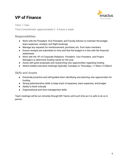# <span id="page-4-0"></span>**VP of Finance**



Term: 1 Year Time Commitment: approximately 3 - 6 hours a week

### Responsibilities

- Work with the President, Vice President, and Faculty Advisor to maintain the budget, team expenses, receipts, and flight bookings
- Manage any requests for reimbursement, purchase, etc. from team members
- Ensure receipts are submitted on time and that the budget is in line with the financial statements
- Work with the VP of Corporate Relations, President, Vice President, and Project Managers to determine funding needs for the year
- Assist with grant proposals and researching new opportunities regarding funding
- Attend weekly executive meetings (typically Tuesdays or Thursdays, 11:30am-12:50pm)

## Skills and Assets

- Extremely proactive and self-guided when identifying and planning new opportunities for funding
- Strong administrative skills to keep track of expenses, team expenses, and budget
- Ability to think critically
- Organizational and time management skills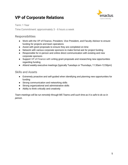# <span id="page-5-0"></span>**VP of Corporate Relations**



Term: 1 Year

Time Commitment: approximately 3 - 6 hours a week

### Responsibilities

- Work with the VP of Finance, President, Vice President, and Faculty Advisor to ensure funding for projects and team operations
- Assist with grant proposals to ensure they are completed on time
- Network with various corporate sponsors to make formal ask for project funding
- Responsible for in-person and online direct communication with existing and new corporate sponsors
- Support VP of Finance with writing grant proposals and researching new opportunities regarding funding
- Attend weekly executive meetings (typically Tuesdays or Thursdays, 11:30am-12:50pm)

#### Skills and Assets

- Extremely proactive and self-guided when identifying and planning new opportunities for funding
- Strong communication and networking skills
- Strong organizational and administrative skills
- Ability to think critically and creatively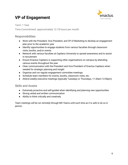# <span id="page-6-0"></span>**VP of Engagement**



Term: 1 Year

Time Commitment: approximately 12-18 hours per month

# Responsibilities

- Work with the President, Vice President, and VP of Marketing to develop an engagement plan prior to the academic year
- Identify opportunities to engage students from various faculties through classroom visits, booths, and/or events
- Network with various faculties at Capilano University to spread awareness and to assist in recruitment
- Ensure Enactus Capilano is supporting other organizations on campus by attending various events throughout the year
- Clear communication with the President and Vice President of Enactus Capilano when needed for strategic planning and insight
- Organize and run regular engagement committee meetings
- Schedule team members for events, booths, classroom visits, etc.
- Attend weekly executive meetings (typically Tuesdays or Thursdays, 11:30am-12:50pm)

### Skills and Assets

- Extremely proactive and self-guided when identifying and planning new opportunities
- Strong verbal and written communication
- Ability to think critically and creatively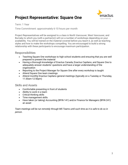# <span id="page-7-0"></span>**Project Representative: Square One**



#### Term: 1 Year

Time Commitment: approximately 6-10 hours per month

Project Representatives will be assigned to a class in North Vancouver, West Vancouver, and Burnaby to which you (with a partner(s)) will run a number of workshops depending on your availability. You will be trained on the material covered before you teach it, as well as teaching styles and how to make the workshops compelling. You are encouraged to build a strong relationship with these participants to encourage maximum participation.

### Responsibilities

- Teaching Square One workshops to high school students and ensuring that you are well prepared to present the material
- Having a thorough knowledge of Enactus Canada, Enactus Capilano, and Square One to adequately answer students' questions and have a larger understanding of the organization
- Reporting to the Project Manager for Square One after every workshop is taught
- Attend Square One team meetings
- Attend monthly Enactus Capilano general meetings (typically on a Tuesday or Thursday, 11:30am-12:50pm)

### Skills and Assets

- Comfortable presenting in front of students
- Ability to work in a team
- Critical thinking skills
- Time management skills
- Have taken (or taking) Accounting (BFIN 141) and/or Finance for Managers (BFIN 241) an asset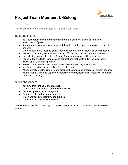# <span id="page-8-0"></span>**Project Team Member: U-Belong**



Term: 1 Year

Time Commitment: approximately 10-14 hours per month

# Responsibilities

- Be a collaborative team member throughout the planning, execution, and postassessment of projects
- Analyze previous projects and successful tactics used to apply or improve on current projects
- Share honest input, feedback, and recommendations for any aspect as deem needed
- Assist in conducting assessments on and off campus to address community needs
- Help identify opportunities the U-Belong Team can feasibly tackle and act on
- Reach out to available resources and connections that could aid in the successful execution of U-Belong's projects
- Research and development of innovative ideas in a learning environment
- Meet and report on weekly deliverables to the team
- Attend weekly U-Belong meetings to discuss the status and progress of current agendas
- Attend monthly Enactus Capilano general meetings (typically on a Tuesday or Thursday, 11:30am-12:50pm)

### Skills and Assets

- Ability to think critically and creatively
- Strong verbal and written communication skills
- Extremely proactive and self-guided
- Organized, strong time management
- Vision and ability to identify opportunities
- Team building and problem-solving